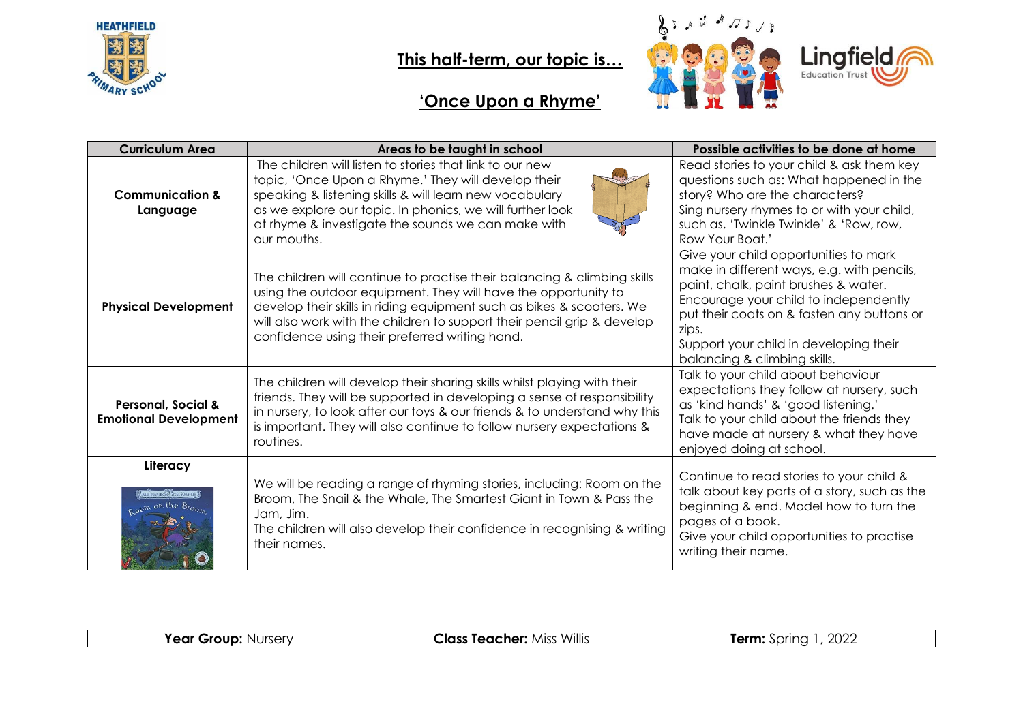

#### **This half-term, our topic is…**



# **'Once Upon a Rhyme'**

| <b>Curriculum Area</b>                                        | Areas to be taught in school                                                                                                                                                                                                                                                                                                                     | Possible activities to be done at home                                                                                                                                                                                                                                                                |
|---------------------------------------------------------------|--------------------------------------------------------------------------------------------------------------------------------------------------------------------------------------------------------------------------------------------------------------------------------------------------------------------------------------------------|-------------------------------------------------------------------------------------------------------------------------------------------------------------------------------------------------------------------------------------------------------------------------------------------------------|
| <b>Communication &amp;</b><br>Language                        | The children will listen to stories that link to our new<br>topic, 'Once Upon a Rhyme.' They will develop their<br>speaking & listening skills & will learn new vocabulary<br>as we explore our topic. In phonics, we will further look<br>at rhyme & investigate the sounds we can make with<br>our mouths.                                     | Read stories to your child & ask them key<br>questions such as: What happened in the<br>story? Who are the characters?<br>Sing nursery rhymes to or with your child,<br>such as, 'Twinkle Twinkle' & 'Row, row,<br>Row Your Boat.'                                                                    |
| <b>Physical Development</b>                                   | The children will continue to practise their balancing & climbing skills<br>using the outdoor equipment. They will have the opportunity to<br>develop their skills in riding equipment such as bikes & scooters. We<br>will also work with the children to support their pencil grip & develop<br>confidence using their preferred writing hand. | Give your child opportunities to mark<br>make in different ways, e.g. with pencils,<br>paint, chalk, paint brushes & water.<br>Encourage your child to independently<br>put their coats on & fasten any buttons or<br>zips.<br>Support your child in developing their<br>balancing & climbing skills. |
| <b>Personal, Social &amp;</b><br><b>Emotional Development</b> | The children will develop their sharing skills whilst playing with their<br>friends. They will be supported in developing a sense of responsibility<br>in nursery, to look after our toys & our friends & to understand why this<br>is important. They will also continue to follow nursery expectations &<br>routines.                          | Talk to your child about behaviour<br>expectations they follow at nursery, such<br>as 'kind hands' & 'good listening.'<br>Talk to your child about the friends they<br>have made at nursery & what they have<br>enjoyed doing at school.                                                              |
| Literacy                                                      | We will be reading a range of rhyming stories, including: Room on the<br>Broom, The Snail & the Whale, The Smartest Giant in Town & Pass the<br>Jam, Jim.<br>The children will also develop their confidence in recognising & writing<br>their names.                                                                                            | Continue to read stories to your child &<br>talk about key parts of a story, such as the<br>beginning & end. Model how to turn the<br>pages of a book.<br>Give your child opportunities to practise<br>writing their name.                                                                            |

|  | Nursery<br>r e ar<br><b>Srour</b><br>--- | $\cdots$<br>Willis<br>. Teacher <sup>.</sup><br>Class<br>Mis: | 2022<br><b>jerm</b><br>princ |
|--|------------------------------------------|---------------------------------------------------------------|------------------------------|
|--|------------------------------------------|---------------------------------------------------------------|------------------------------|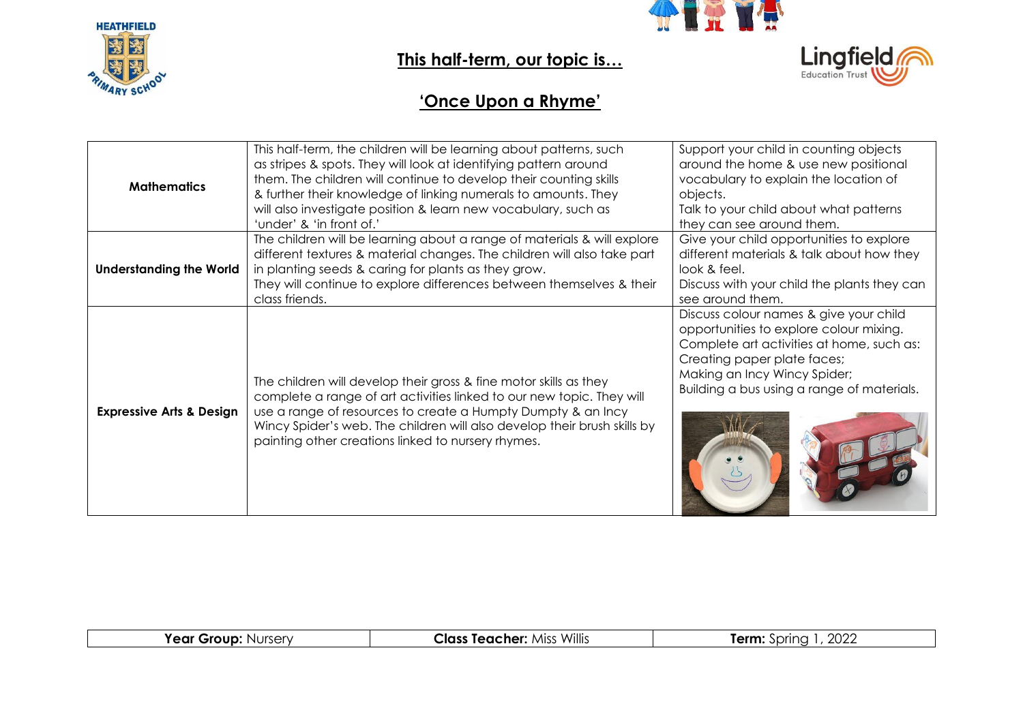



### **This half-term, our topic is…**



#### **'Once Upon a Rhyme'**

| <b>Mathematics</b>                  | This half-term, the children will be learning about patterns, such<br>as stripes & spots. They will look at identifying pattern around<br>them. The children will continue to develop their counting skills<br>& further their knowledge of linking numerals to amounts. They<br>will also investigate position & learn new vocabulary, such as<br>'under' & 'in front of.' | Support your child in counting objects<br>around the home & use new positional<br>vocabulary to explain the location of<br>objects.<br>Talk to your child about what patterns<br>they can see around them.                                  |
|-------------------------------------|-----------------------------------------------------------------------------------------------------------------------------------------------------------------------------------------------------------------------------------------------------------------------------------------------------------------------------------------------------------------------------|---------------------------------------------------------------------------------------------------------------------------------------------------------------------------------------------------------------------------------------------|
| <b>Understanding the World</b>      | The children will be learning about a range of materials & will explore<br>different textures & material changes. The children will also take part<br>in planting seeds & caring for plants as they grow.<br>They will continue to explore differences between themselves & their<br>class friends.                                                                         | Give your child opportunities to explore<br>different materials & talk about how they<br>look & feel.<br>Discuss with your child the plants they can<br>see around them.                                                                    |
| <b>Expressive Arts &amp; Design</b> | The children will develop their gross & fine motor skills as they<br>complete a range of art activities linked to our new topic. They will<br>use a range of resources to create a Humpty Dumpty & an Incy<br>Wincy Spider's web. The children will also develop their brush skills by<br>painting other creations linked to nursery rhymes.                                | Discuss colour names & give your child<br>opportunities to explore colour mixing.<br>Complete art activities at home, such as:<br>Creating paper plate faces;<br>Making an Incy Wincy Spider;<br>Building a bus using a range of materials. |

| <b>Year Group: Nurserv</b> | <b>Class Teacher: Miss Willis</b> | 2022<br>Term:<br>spring |
|----------------------------|-----------------------------------|-------------------------|
|                            |                                   |                         |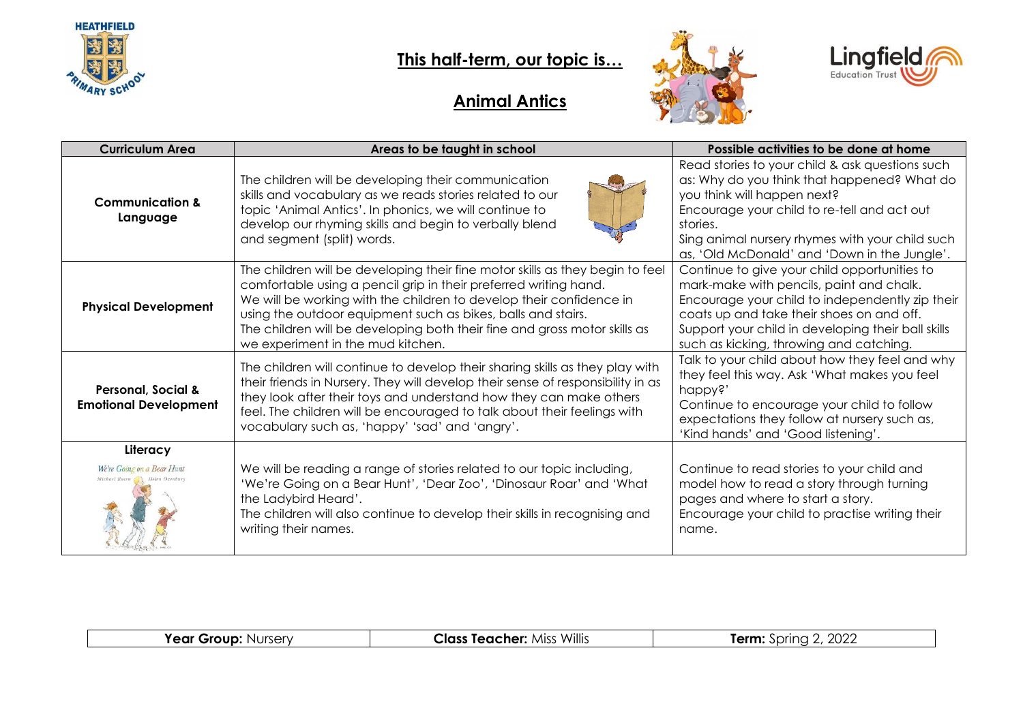

### **This half-term, our topic is…**





#### **Animal Antics**

| <b>Curriculum Area</b>                                                 | Areas to be taught in school                                                                                                                                                                                                                                                                                                                                                                               | Possible activities to be done at home                                                                                                                                                                                                                                                      |
|------------------------------------------------------------------------|------------------------------------------------------------------------------------------------------------------------------------------------------------------------------------------------------------------------------------------------------------------------------------------------------------------------------------------------------------------------------------------------------------|---------------------------------------------------------------------------------------------------------------------------------------------------------------------------------------------------------------------------------------------------------------------------------------------|
| <b>Communication &amp;</b><br>Language                                 | The children will be developing their communication<br>skills and vocabulary as we reads stories related to our<br>topic 'Animal Antics'. In phonics, we will continue to<br>develop our rhyming skills and begin to verbally blend<br>and segment (split) words.                                                                                                                                          | Read stories to your child & ask questions such<br>as: Why do you think that happened? What do<br>you think will happen next?<br>Encourage your child to re-tell and act out<br>stories.<br>Sing animal nursery rhymes with your child such<br>as, 'Old McDonald' and 'Down in the Jungle'. |
| <b>Physical Development</b>                                            | The children will be developing their fine motor skills as they begin to feel<br>comfortable using a pencil grip in their preferred writing hand.<br>We will be working with the children to develop their confidence in<br>using the outdoor equipment such as bikes, balls and stairs.<br>The children will be developing both their fine and gross motor skills as<br>we experiment in the mud kitchen. | Continue to give your child opportunities to<br>mark-make with pencils, paint and chalk.<br>Encourage your child to independently zip their<br>coats up and take their shoes on and off.<br>Support your child in developing their ball skills<br>such as kicking, throwing and catching.   |
| <b>Personal, Social &amp;</b><br><b>Emotional Development</b>          | The children will continue to develop their sharing skills as they play with<br>their friends in Nursery. They will develop their sense of responsibility in as<br>they look after their toys and understand how they can make others<br>feel. The children will be encouraged to talk about their feelings with<br>vocabulary such as, 'happy' 'sad' and 'angry'.                                         | Talk to your child about how they feel and why<br>they feel this way. Ask 'What makes you feel<br>happy?'<br>Continue to encourage your child to follow<br>expectations they follow at nursery such as,<br>'Kind hands' and 'Good listening'.                                               |
| Literacy                                                               |                                                                                                                                                                                                                                                                                                                                                                                                            |                                                                                                                                                                                                                                                                                             |
| We're Going on a Bear Hunt<br>Michael Rosen (<br><b>Helen</b> Oxenbury | We will be reading a range of stories related to our topic including,<br>'We're Going on a Bear Hunt', 'Dear Zoo', 'Dinosaur Roar' and 'What<br>the Ladybird Heard'.<br>The children will also continue to develop their skills in recognising and<br>writing their names.                                                                                                                                 | Continue to read stories to your child and<br>model how to read a story through turning<br>pages and where to start a story.<br>Encourage your child to practise writing their<br>name.                                                                                                     |

|  | <b>Year Group: Nursery</b> | <b>Class Teacher: Miss Willis</b> | റററ<br>ferm <sup>.</sup><br>Sprina .<br>∠∪∠∠<br>. |
|--|----------------------------|-----------------------------------|---------------------------------------------------|
|--|----------------------------|-----------------------------------|---------------------------------------------------|